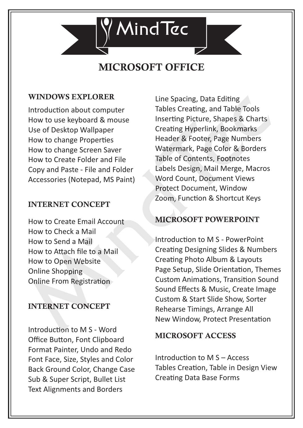

# MICROSOFT OFFICE

### WINDOWS EXPLORER

Introduction about computer How to use keyboard & mouse Use of Desktop Wallpaper How to change Properties How to change Screen Saver How to Create Folder and File Copy and Paste - File and Folder Accessories (Notepad, MS Paint)

### INTERNET CONCEPT

How to Create Email Account How to Check a Mail How to Send a Mail How to Attach file to a Mail How to Open Website Online Shopping Online From Registration

## INTERNET CONCEPT

Introduction to M S - Word Office Button, Font Clipboard Format Painter, Undo and Redo Font Face, Size, Styles and Color Back Ground Color, Change Case Sub & Super Script, Bullet List Text Alignments and Borders

Line Spacing, Data Editing Tables Creating, and Table Tools Inserting Picture, Shapes & Charts Creating Hyperlink, Bookmarks Header & Footer, Page Numbers Watermark, Page Color & Borders Table of Contents, Footnotes Labels Design, Mail Merge, Macros Word Count, Document Views Protect Document, Window Zoom, Function & Shortcut Keys

# MICROSOFT POWERPOINT

Introduction to M S - PowerPoint Creating Designing Slides & Numbers Creating Photo Album & Layouts Page Setup, Slide Orientation, Themes Custom Animations, Transition Sound Sound Effects & Music, Create Image Custom & Start Slide Show, Sorter Rehearse Timings, Arrange All New Window, Protect Presentation

### MICROSOFT ACCESS

Introduction to  $M S -$ Access Tables Creation, Table in Design View **Creating Data Base Forms**